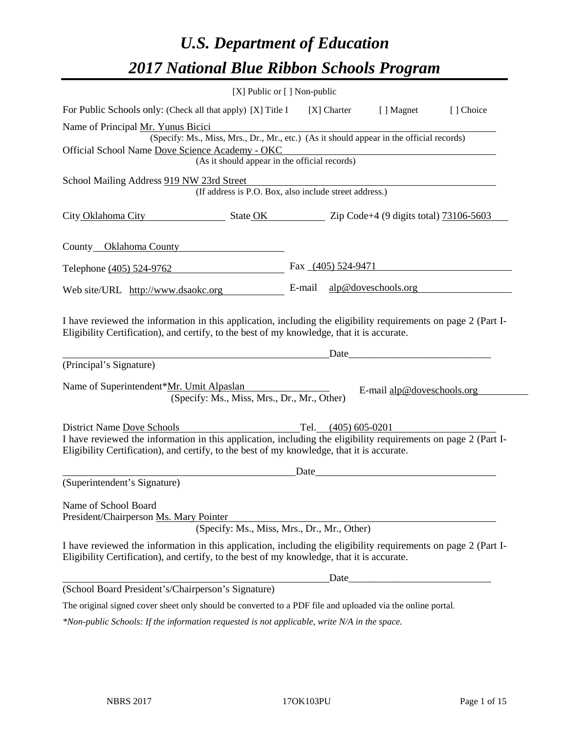# *U.S. Department of Education 2017 National Blue Ribbon Schools Program*

| [X] Public or [] Non-public                                                                                                                                                                                  |      |                       |                            |           |
|--------------------------------------------------------------------------------------------------------------------------------------------------------------------------------------------------------------|------|-----------------------|----------------------------|-----------|
| For Public Schools only: (Check all that apply) [X] Title I                                                                                                                                                  |      | [X] Charter           | [ ] Magnet                 | [] Choice |
| Name of Principal Mr. Yunus Bicici                                                                                                                                                                           |      |                       |                            |           |
| (Specify: Ms., Miss, Mrs., Dr., Mr., etc.) (As it should appear in the official records)                                                                                                                     |      |                       |                            |           |
| Official School Name Dove Science Academy - OKC                                                                                                                                                              |      |                       |                            |           |
| (As it should appear in the official records)                                                                                                                                                                |      |                       |                            |           |
| School Mailing Address 919 NW 23rd Street                                                                                                                                                                    |      |                       |                            |           |
| (If address is P.O. Box, also include street address.)                                                                                                                                                       |      |                       |                            |           |
| City Oklahoma City State OK Zip Code+4 (9 digits total) 73106-5603                                                                                                                                           |      |                       |                            |           |
| County Oklahoma County                                                                                                                                                                                       |      |                       |                            |           |
| Telephone (405) 524-9762                                                                                                                                                                                     |      |                       | Fax $(405)$ 524-9471       |           |
| Web site/URL http://www.dsaokc.org                                                                                                                                                                           |      |                       | E-mail alp@doveschools.org |           |
| (Principal's Signature)                                                                                                                                                                                      |      | Date                  |                            |           |
| Name of Superintendent*Mr. Umit Alpaslan<br>(Specify: Ms., Miss, Mrs., Dr., Mr., Other)                                                                                                                      |      |                       | E-mail alp@doveschools.org |           |
| District Name Dove Schools                                                                                                                                                                                   |      | Tel. $(405)$ 605-0201 |                            |           |
| I have reviewed the information in this application, including the eligibility requirements on page 2 (Part I-<br>Eligibility Certification), and certify, to the best of my knowledge, that it is accurate. |      |                       |                            |           |
|                                                                                                                                                                                                              | Date |                       |                            |           |
| (Superintendent's Signature)                                                                                                                                                                                 |      |                       |                            |           |
| Name of School Board                                                                                                                                                                                         |      |                       |                            |           |
| President/Chairperson Ms. Mary Pointer                                                                                                                                                                       |      |                       |                            |           |
| (Specify: Ms., Miss, Mrs., Dr., Mr., Other)                                                                                                                                                                  |      |                       |                            |           |
| I have reviewed the information in this application, including the eligibility requirements on page 2 (Part I-<br>Eligibility Certification), and certify, to the best of my knowledge, that it is accurate. |      |                       |                            |           |
|                                                                                                                                                                                                              |      | Date_                 |                            |           |
| (School Board President's/Chairperson's Signature)                                                                                                                                                           |      |                       |                            |           |
| The original signed cover sheet only should be converted to a PDF file and uploaded via the online portal.                                                                                                   |      |                       |                            |           |
| $*$ Non-public Schools: If the information requested is not applicable, write N/A in the space.                                                                                                              |      |                       |                            |           |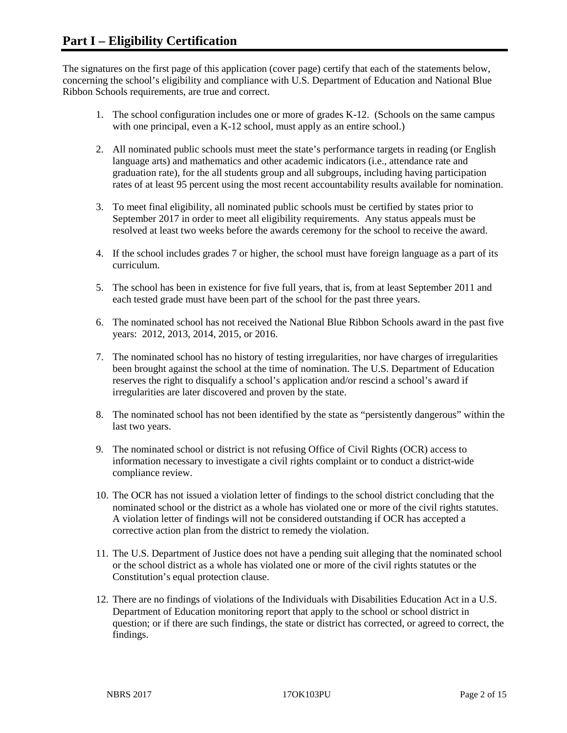The signatures on the first page of this application (cover page) certify that each of the statements below, concerning the school's eligibility and compliance with U.S. Department of Education and National Blue Ribbon Schools requirements, are true and correct.

- 1. The school configuration includes one or more of grades K-12. (Schools on the same campus with one principal, even a K-12 school, must apply as an entire school.)
- 2. All nominated public schools must meet the state's performance targets in reading (or English language arts) and mathematics and other academic indicators (i.e., attendance rate and graduation rate), for the all students group and all subgroups, including having participation rates of at least 95 percent using the most recent accountability results available for nomination.
- 3. To meet final eligibility, all nominated public schools must be certified by states prior to September 2017 in order to meet all eligibility requirements. Any status appeals must be resolved at least two weeks before the awards ceremony for the school to receive the award.
- 4. If the school includes grades 7 or higher, the school must have foreign language as a part of its curriculum.
- 5. The school has been in existence for five full years, that is, from at least September 2011 and each tested grade must have been part of the school for the past three years.
- 6. The nominated school has not received the National Blue Ribbon Schools award in the past five years: 2012, 2013, 2014, 2015, or 2016.
- 7. The nominated school has no history of testing irregularities, nor have charges of irregularities been brought against the school at the time of nomination. The U.S. Department of Education reserves the right to disqualify a school's application and/or rescind a school's award if irregularities are later discovered and proven by the state.
- 8. The nominated school has not been identified by the state as "persistently dangerous" within the last two years.
- 9. The nominated school or district is not refusing Office of Civil Rights (OCR) access to information necessary to investigate a civil rights complaint or to conduct a district-wide compliance review.
- 10. The OCR has not issued a violation letter of findings to the school district concluding that the nominated school or the district as a whole has violated one or more of the civil rights statutes. A violation letter of findings will not be considered outstanding if OCR has accepted a corrective action plan from the district to remedy the violation.
- 11. The U.S. Department of Justice does not have a pending suit alleging that the nominated school or the school district as a whole has violated one or more of the civil rights statutes or the Constitution's equal protection clause.
- 12. There are no findings of violations of the Individuals with Disabilities Education Act in a U.S. Department of Education monitoring report that apply to the school or school district in question; or if there are such findings, the state or district has corrected, or agreed to correct, the findings.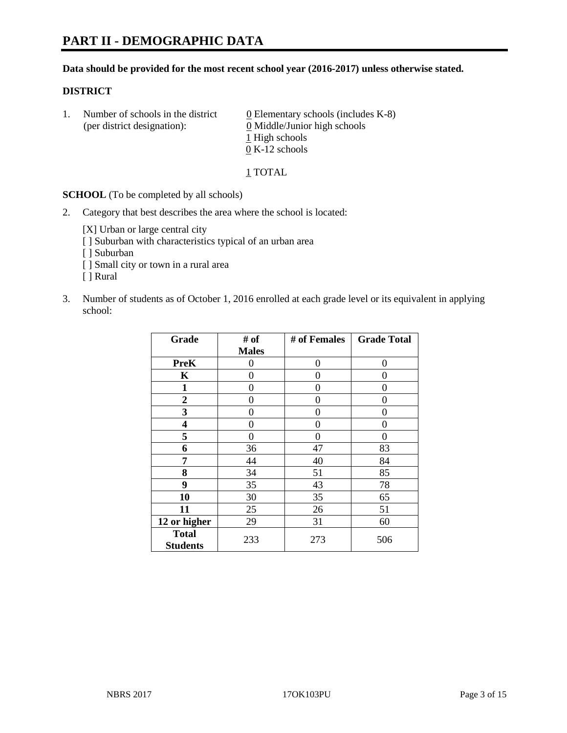#### **Data should be provided for the most recent school year (2016-2017) unless otherwise stated.**

#### **DISTRICT**

1. Number of schools in the district  $0$  Elementary schools (includes K-8) (per district designation): 0 Middle/Junior high schools 1 High schools 0 K-12 schools

#### 1 TOTAL

**SCHOOL** (To be completed by all schools)

2. Category that best describes the area where the school is located:

[X] Urban or large central city [ ] Suburban with characteristics typical of an urban area

- [ ] Suburban
- [ ] Small city or town in a rural area
- [ ] Rural
- 3. Number of students as of October 1, 2016 enrolled at each grade level or its equivalent in applying school:

| Grade                           | # of         | # of Females | <b>Grade Total</b> |
|---------------------------------|--------------|--------------|--------------------|
|                                 | <b>Males</b> |              |                    |
| <b>PreK</b>                     | 0            | 0            | $\theta$           |
| K                               | 0            | 0            | 0                  |
| $\mathbf{1}$                    | 0            | 0            | 0                  |
| $\boldsymbol{2}$                | 0            | 0            | 0                  |
| 3                               | 0            | 0            | 0                  |
| 4                               | 0            | 0            | 0                  |
| 5                               | 0            | 0            | 0                  |
| 6                               | 36           | 47           | 83                 |
| 7                               | 44           | 40           | 84                 |
| 8                               | 34           | 51           | 85                 |
| 9                               | 35           | 43           | 78                 |
| 10                              | 30           | 35           | 65                 |
| 11                              | 25           | 26           | 51                 |
| 12 or higher                    | 29           | 31           | 60                 |
| <b>Total</b><br><b>Students</b> | 233          | 273          | 506                |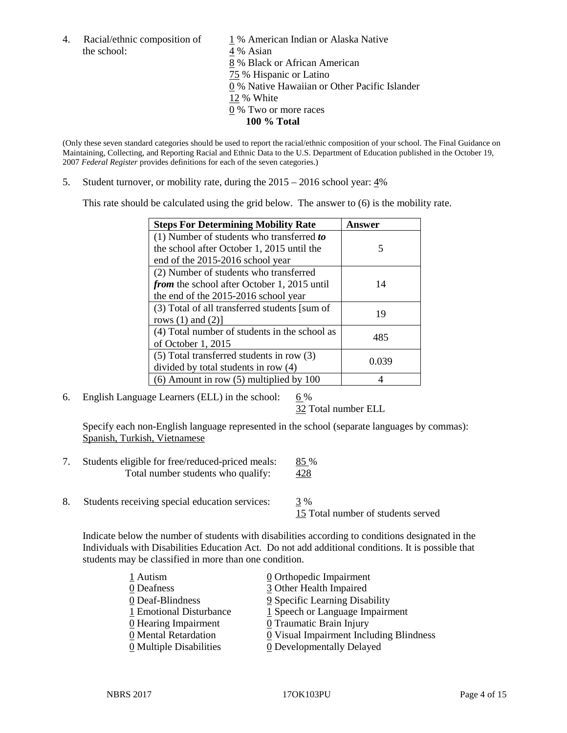the school:  $4\%$  Asian

4. Racial/ethnic composition of  $1\%$  American Indian or Alaska Native 8 % Black or African American 75 % Hispanic or Latino 0 % Native Hawaiian or Other Pacific Islander 12 % White 0 % Two or more races **100 % Total**

(Only these seven standard categories should be used to report the racial/ethnic composition of your school. The Final Guidance on Maintaining, Collecting, and Reporting Racial and Ethnic Data to the U.S. Department of Education published in the October 19, 2007 *Federal Register* provides definitions for each of the seven categories.)

5. Student turnover, or mobility rate, during the 2015 – 2016 school year: 4%

This rate should be calculated using the grid below. The answer to (6) is the mobility rate.

| <b>Steps For Determining Mobility Rate</b>         | Answer |  |
|----------------------------------------------------|--------|--|
| (1) Number of students who transferred to          |        |  |
| the school after October 1, 2015 until the         | 5      |  |
| end of the 2015-2016 school year                   |        |  |
| (2) Number of students who transferred             |        |  |
| <i>from</i> the school after October 1, 2015 until | 14     |  |
| the end of the 2015-2016 school year               |        |  |
| (3) Total of all transferred students [sum of      | 19     |  |
| rows $(1)$ and $(2)$ ]                             |        |  |
| (4) Total number of students in the school as      |        |  |
| of October 1, 2015                                 | 485    |  |
| (5) Total transferred students in row (3)          |        |  |
| divided by total students in row (4)               | 0.039  |  |
| $(6)$ Amount in row $(5)$ multiplied by 100        |        |  |

6. English Language Learners (ELL) in the school:  $6\%$ 

32 Total number ELL

Specify each non-English language represented in the school (separate languages by commas): Spanish, Turkish, Vietnamese

- 7. Students eligible for free/reduced-priced meals: 85 % Total number students who qualify: 428
- 8. Students receiving special education services: 3 %

15 Total number of students served

Indicate below the number of students with disabilities according to conditions designated in the Individuals with Disabilities Education Act. Do not add additional conditions. It is possible that students may be classified in more than one condition.

| 1 Autism                              | $\underline{0}$ Orthopedic Impairment   |
|---------------------------------------|-----------------------------------------|
| 0 Deafness                            | 3 Other Health Impaired                 |
| 0 Deaf-Blindness                      | 9 Specific Learning Disability          |
| 1 Emotional Disturbance               | $1$ Speech or Language Impairment       |
| 0 Hearing Impairment                  | 0 Traumatic Brain Injury                |
| 0 Mental Retardation                  | 0 Visual Impairment Including Blindness |
| $\underline{0}$ Multiple Disabilities | <b>0</b> Developmentally Delayed        |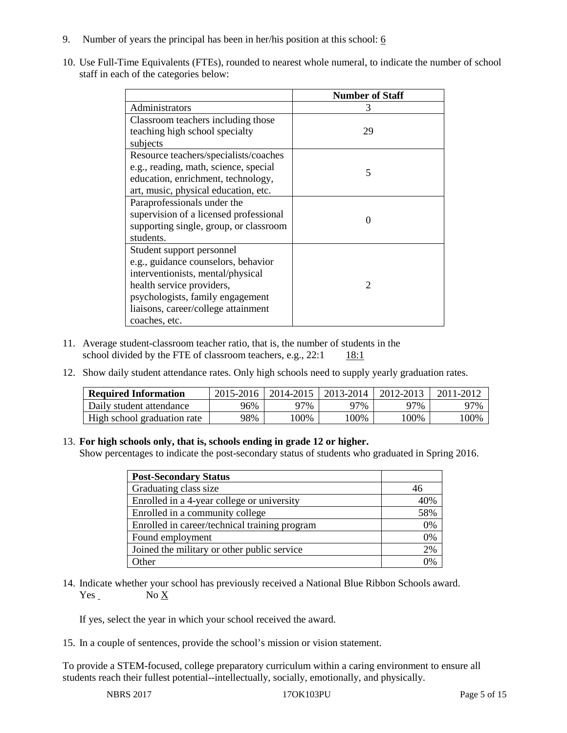- 9. Number of years the principal has been in her/his position at this school:  $6$
- 10. Use Full-Time Equivalents (FTEs), rounded to nearest whole numeral, to indicate the number of school staff in each of the categories below:

|                                        | <b>Number of Staff</b> |
|----------------------------------------|------------------------|
| Administrators                         | 3                      |
| Classroom teachers including those     |                        |
| teaching high school specialty         | 29                     |
| subjects                               |                        |
| Resource teachers/specialists/coaches  |                        |
| e.g., reading, math, science, special  | 5                      |
| education, enrichment, technology,     |                        |
| art, music, physical education, etc.   |                        |
| Paraprofessionals under the            |                        |
| supervision of a licensed professional | $\Omega$               |
| supporting single, group, or classroom |                        |
| students.                              |                        |
| Student support personnel              |                        |
| e.g., guidance counselors, behavior    |                        |
| interventionists, mental/physical      |                        |
| health service providers,              | $\mathcal{D}$          |
| psychologists, family engagement       |                        |
| liaisons, career/college attainment    |                        |
| coaches, etc.                          |                        |

- 11. Average student-classroom teacher ratio, that is, the number of students in the school divided by the FTE of classroom teachers, e.g.,  $22:1$  18:1
- 12. Show daily student attendance rates. Only high schools need to supply yearly graduation rates.

| <b>Required Information</b> | 2015-2016 | 2014-2015 | 2013-2014 | 2012-2013 | 2011-2012 |
|-----------------------------|-----------|-----------|-----------|-----------|-----------|
| Daily student attendance    | 96%       | 97%       | 97%       | 97%       | 97%       |
| High school graduation rate | 98%       | 00%       | 00%       | $00\%$    | 100%      |

#### 13. **For high schools only, that is, schools ending in grade 12 or higher.**

Show percentages to indicate the post-secondary status of students who graduated in Spring 2016.

| <b>Post-Secondary Status</b>                  |     |
|-----------------------------------------------|-----|
| Graduating class size                         | 46  |
| Enrolled in a 4-year college or university    | 40% |
| Enrolled in a community college               | 58% |
| Enrolled in career/technical training program | 0%  |
| Found employment                              | 0%  |
| Joined the military or other public service   | 2%  |
| $\Delta$ ther                                 | 0/  |

14. Indicate whether your school has previously received a National Blue Ribbon Schools award. Yes No X

If yes, select the year in which your school received the award.

15. In a couple of sentences, provide the school's mission or vision statement.

To provide a STEM-focused, college preparatory curriculum within a caring environment to ensure all students reach their fullest potential--intellectually, socially, emotionally, and physically.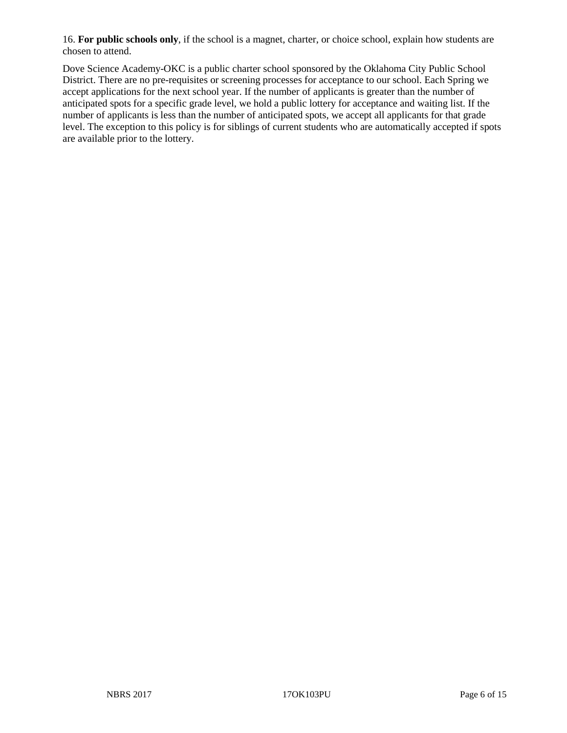16. **For public schools only**, if the school is a magnet, charter, or choice school, explain how students are chosen to attend.

Dove Science Academy-OKC is a public charter school sponsored by the Oklahoma City Public School District. There are no pre-requisites or screening processes for acceptance to our school. Each Spring we accept applications for the next school year. If the number of applicants is greater than the number of anticipated spots for a specific grade level, we hold a public lottery for acceptance and waiting list. If the number of applicants is less than the number of anticipated spots, we accept all applicants for that grade level. The exception to this policy is for siblings of current students who are automatically accepted if spots are available prior to the lottery.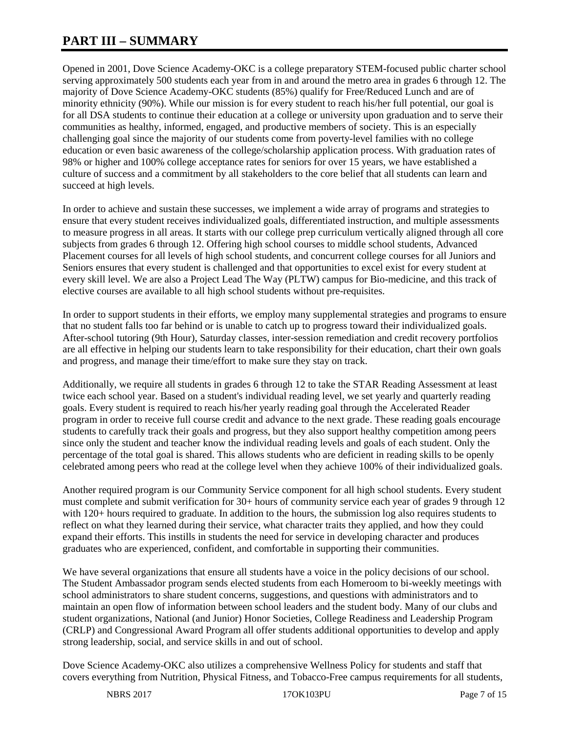## **PART III – SUMMARY**

Opened in 2001, Dove Science Academy-OKC is a college preparatory STEM-focused public charter school serving approximately 500 students each year from in and around the metro area in grades 6 through 12. The majority of Dove Science Academy-OKC students (85%) qualify for Free/Reduced Lunch and are of minority ethnicity (90%). While our mission is for every student to reach his/her full potential, our goal is for all DSA students to continue their education at a college or university upon graduation and to serve their communities as healthy, informed, engaged, and productive members of society. This is an especially challenging goal since the majority of our students come from poverty-level families with no college education or even basic awareness of the college/scholarship application process. With graduation rates of 98% or higher and 100% college acceptance rates for seniors for over 15 years, we have established a culture of success and a commitment by all stakeholders to the core belief that all students can learn and succeed at high levels.

In order to achieve and sustain these successes, we implement a wide array of programs and strategies to ensure that every student receives individualized goals, differentiated instruction, and multiple assessments to measure progress in all areas. It starts with our college prep curriculum vertically aligned through all core subjects from grades 6 through 12. Offering high school courses to middle school students, Advanced Placement courses for all levels of high school students, and concurrent college courses for all Juniors and Seniors ensures that every student is challenged and that opportunities to excel exist for every student at every skill level. We are also a Project Lead The Way (PLTW) campus for Bio-medicine, and this track of elective courses are available to all high school students without pre-requisites.

In order to support students in their efforts, we employ many supplemental strategies and programs to ensure that no student falls too far behind or is unable to catch up to progress toward their individualized goals. After-school tutoring (9th Hour), Saturday classes, inter-session remediation and credit recovery portfolios are all effective in helping our students learn to take responsibility for their education, chart their own goals and progress, and manage their time/effort to make sure they stay on track.

Additionally, we require all students in grades 6 through 12 to take the STAR Reading Assessment at least twice each school year. Based on a student's individual reading level, we set yearly and quarterly reading goals. Every student is required to reach his/her yearly reading goal through the Accelerated Reader program in order to receive full course credit and advance to the next grade. These reading goals encourage students to carefully track their goals and progress, but they also support healthy competition among peers since only the student and teacher know the individual reading levels and goals of each student. Only the percentage of the total goal is shared. This allows students who are deficient in reading skills to be openly celebrated among peers who read at the college level when they achieve 100% of their individualized goals.

Another required program is our Community Service component for all high school students. Every student must complete and submit verification for 30+ hours of community service each year of grades 9 through 12 with 120+ hours required to graduate. In addition to the hours, the submission log also requires students to reflect on what they learned during their service, what character traits they applied, and how they could expand their efforts. This instills in students the need for service in developing character and produces graduates who are experienced, confident, and comfortable in supporting their communities.

We have several organizations that ensure all students have a voice in the policy decisions of our school. The Student Ambassador program sends elected students from each Homeroom to bi-weekly meetings with school administrators to share student concerns, suggestions, and questions with administrators and to maintain an open flow of information between school leaders and the student body. Many of our clubs and student organizations, National (and Junior) Honor Societies, College Readiness and Leadership Program (CRLP) and Congressional Award Program all offer students additional opportunities to develop and apply strong leadership, social, and service skills in and out of school.

Dove Science Academy-OKC also utilizes a comprehensive Wellness Policy for students and staff that covers everything from Nutrition, Physical Fitness, and Tobacco-Free campus requirements for all students,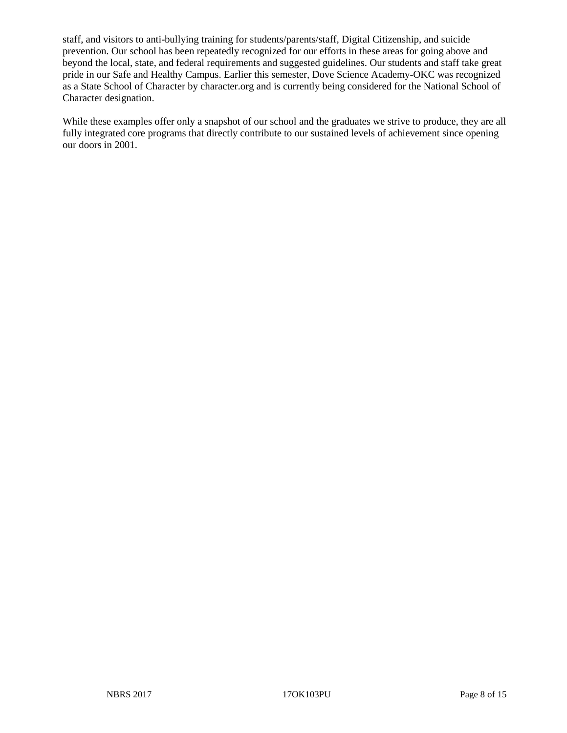staff, and visitors to anti-bullying training for students/parents/staff, Digital Citizenship, and suicide prevention. Our school has been repeatedly recognized for our efforts in these areas for going above and beyond the local, state, and federal requirements and suggested guidelines. Our students and staff take great pride in our Safe and Healthy Campus. Earlier this semester, Dove Science Academy-OKC was recognized as a State School of Character by character.org and is currently being considered for the National School of Character designation.

While these examples offer only a snapshot of our school and the graduates we strive to produce, they are all fully integrated core programs that directly contribute to our sustained levels of achievement since opening our doors in 2001.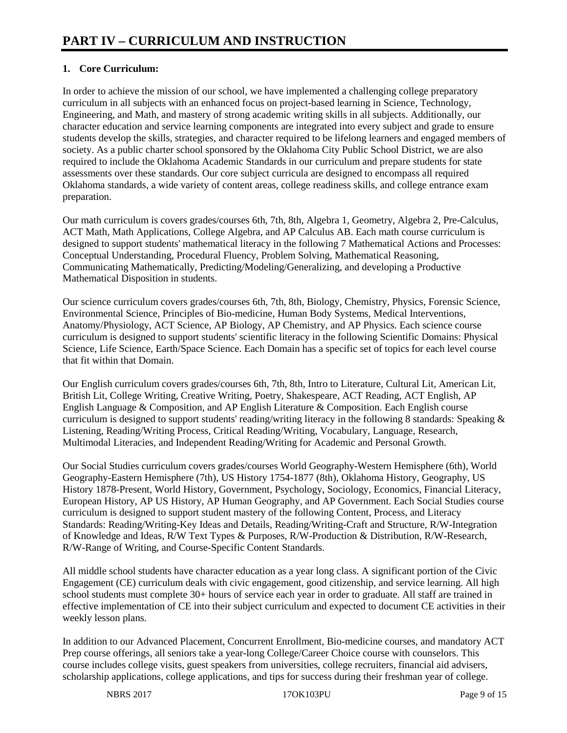### **1. Core Curriculum:**

In order to achieve the mission of our school, we have implemented a challenging college preparatory curriculum in all subjects with an enhanced focus on project-based learning in Science, Technology, Engineering, and Math, and mastery of strong academic writing skills in all subjects. Additionally, our character education and service learning components are integrated into every subject and grade to ensure students develop the skills, strategies, and character required to be lifelong learners and engaged members of society. As a public charter school sponsored by the Oklahoma City Public School District, we are also required to include the Oklahoma Academic Standards in our curriculum and prepare students for state assessments over these standards. Our core subject curricula are designed to encompass all required Oklahoma standards, a wide variety of content areas, college readiness skills, and college entrance exam preparation.

Our math curriculum is covers grades/courses 6th, 7th, 8th, Algebra 1, Geometry, Algebra 2, Pre-Calculus, ACT Math, Math Applications, College Algebra, and AP Calculus AB. Each math course curriculum is designed to support students' mathematical literacy in the following 7 Mathematical Actions and Processes: Conceptual Understanding, Procedural Fluency, Problem Solving, Mathematical Reasoning, Communicating Mathematically, Predicting/Modeling/Generalizing, and developing a Productive Mathematical Disposition in students.

Our science curriculum covers grades/courses 6th, 7th, 8th, Biology, Chemistry, Physics, Forensic Science, Environmental Science, Principles of Bio-medicine, Human Body Systems, Medical Interventions, Anatomy/Physiology, ACT Science, AP Biology, AP Chemistry, and AP Physics. Each science course curriculum is designed to support students' scientific literacy in the following Scientific Domains: Physical Science, Life Science, Earth/Space Science. Each Domain has a specific set of topics for each level course that fit within that Domain.

Our English curriculum covers grades/courses 6th, 7th, 8th, Intro to Literature, Cultural Lit, American Lit, British Lit, College Writing, Creative Writing, Poetry, Shakespeare, ACT Reading, ACT English, AP English Language & Composition, and AP English Literature & Composition. Each English course curriculum is designed to support students' reading/writing literacy in the following 8 standards: Speaking & Listening, Reading/Writing Process, Critical Reading/Writing, Vocabulary, Language, Research, Multimodal Literacies, and Independent Reading/Writing for Academic and Personal Growth.

Our Social Studies curriculum covers grades/courses World Geography-Western Hemisphere (6th), World Geography-Eastern Hemisphere (7th), US History 1754-1877 (8th), Oklahoma History, Geography, US History 1878-Present, World History, Government, Psychology, Sociology, Economics, Financial Literacy, European History, AP US History, AP Human Geography, and AP Government. Each Social Studies course curriculum is designed to support student mastery of the following Content, Process, and Literacy Standards: Reading/Writing-Key Ideas and Details, Reading/Writing-Craft and Structure, R/W-Integration of Knowledge and Ideas, R/W Text Types & Purposes, R/W-Production & Distribution, R/W-Research, R/W-Range of Writing, and Course-Specific Content Standards.

All middle school students have character education as a year long class. A significant portion of the Civic Engagement (CE) curriculum deals with civic engagement, good citizenship, and service learning. All high school students must complete 30+ hours of service each year in order to graduate. All staff are trained in effective implementation of CE into their subject curriculum and expected to document CE activities in their weekly lesson plans.

In addition to our Advanced Placement, Concurrent Enrollment, Bio-medicine courses, and mandatory ACT Prep course offerings, all seniors take a year-long College/Career Choice course with counselors. This course includes college visits, guest speakers from universities, college recruiters, financial aid advisers, scholarship applications, college applications, and tips for success during their freshman year of college.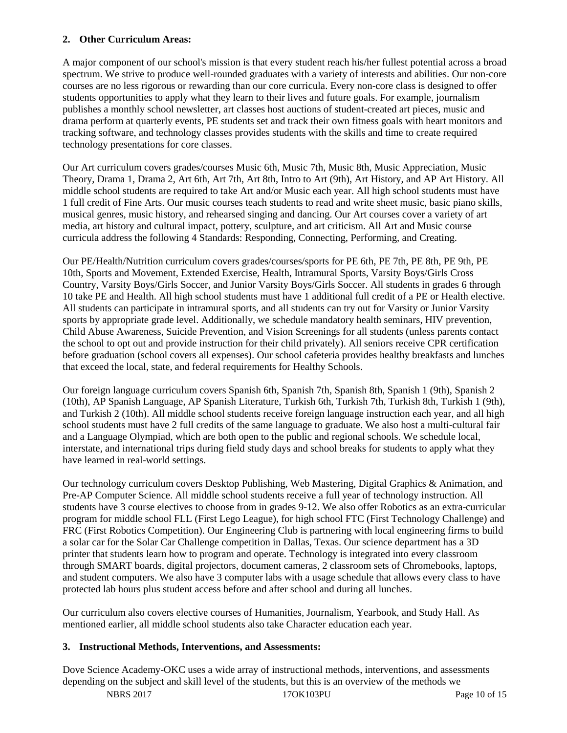#### **2. Other Curriculum Areas:**

A major component of our school's mission is that every student reach his/her fullest potential across a broad spectrum. We strive to produce well-rounded graduates with a variety of interests and abilities. Our non-core courses are no less rigorous or rewarding than our core curricula. Every non-core class is designed to offer students opportunities to apply what they learn to their lives and future goals. For example, journalism publishes a monthly school newsletter, art classes host auctions of student-created art pieces, music and drama perform at quarterly events, PE students set and track their own fitness goals with heart monitors and tracking software, and technology classes provides students with the skills and time to create required technology presentations for core classes.

Our Art curriculum covers grades/courses Music 6th, Music 7th, Music 8th, Music Appreciation, Music Theory, Drama 1, Drama 2, Art 6th, Art 7th, Art 8th, Intro to Art (9th), Art History, and AP Art History. All middle school students are required to take Art and/or Music each year. All high school students must have 1 full credit of Fine Arts. Our music courses teach students to read and write sheet music, basic piano skills, musical genres, music history, and rehearsed singing and dancing. Our Art courses cover a variety of art media, art history and cultural impact, pottery, sculpture, and art criticism. All Art and Music course curricula address the following 4 Standards: Responding, Connecting, Performing, and Creating.

Our PE/Health/Nutrition curriculum covers grades/courses/sports for PE 6th, PE 7th, PE 8th, PE 9th, PE 10th, Sports and Movement, Extended Exercise, Health, Intramural Sports, Varsity Boys/Girls Cross Country, Varsity Boys/Girls Soccer, and Junior Varsity Boys/Girls Soccer. All students in grades 6 through 10 take PE and Health. All high school students must have 1 additional full credit of a PE or Health elective. All students can participate in intramural sports, and all students can try out for Varsity or Junior Varsity sports by appropriate grade level. Additionally, we schedule mandatory health seminars, HIV prevention, Child Abuse Awareness, Suicide Prevention, and Vision Screenings for all students (unless parents contact the school to opt out and provide instruction for their child privately). All seniors receive CPR certification before graduation (school covers all expenses). Our school cafeteria provides healthy breakfasts and lunches that exceed the local, state, and federal requirements for Healthy Schools.

Our foreign language curriculum covers Spanish 6th, Spanish 7th, Spanish 8th, Spanish 1 (9th), Spanish 2 (10th), AP Spanish Language, AP Spanish Literature, Turkish 6th, Turkish 7th, Turkish 8th, Turkish 1 (9th), and Turkish 2 (10th). All middle school students receive foreign language instruction each year, and all high school students must have 2 full credits of the same language to graduate. We also host a multi-cultural fair and a Language Olympiad, which are both open to the public and regional schools. We schedule local, interstate, and international trips during field study days and school breaks for students to apply what they have learned in real-world settings.

Our technology curriculum covers Desktop Publishing, Web Mastering, Digital Graphics & Animation, and Pre-AP Computer Science. All middle school students receive a full year of technology instruction. All students have 3 course electives to choose from in grades 9-12. We also offer Robotics as an extra-curricular program for middle school FLL (First Lego League), for high school FTC (First Technology Challenge) and FRC (First Robotics Competition). Our Engineering Club is partnering with local engineering firms to build a solar car for the Solar Car Challenge competition in Dallas, Texas. Our science department has a 3D printer that students learn how to program and operate. Technology is integrated into every classroom through SMART boards, digital projectors, document cameras, 2 classroom sets of Chromebooks, laptops, and student computers. We also have 3 computer labs with a usage schedule that allows every class to have protected lab hours plus student access before and after school and during all lunches.

Our curriculum also covers elective courses of Humanities, Journalism, Yearbook, and Study Hall. As mentioned earlier, all middle school students also take Character education each year.

#### **3. Instructional Methods, Interventions, and Assessments:**

Dove Science Academy-OKC uses a wide array of instructional methods, interventions, and assessments depending on the subject and skill level of the students, but this is an overview of the methods we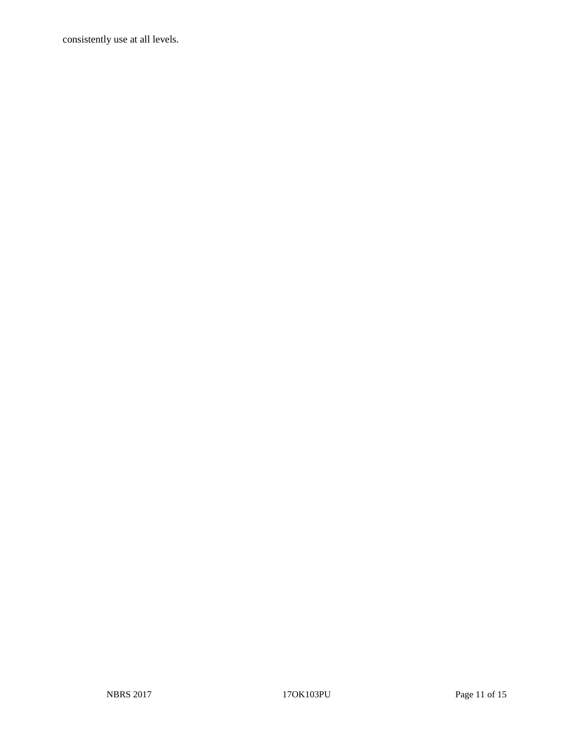consistently use at all levels.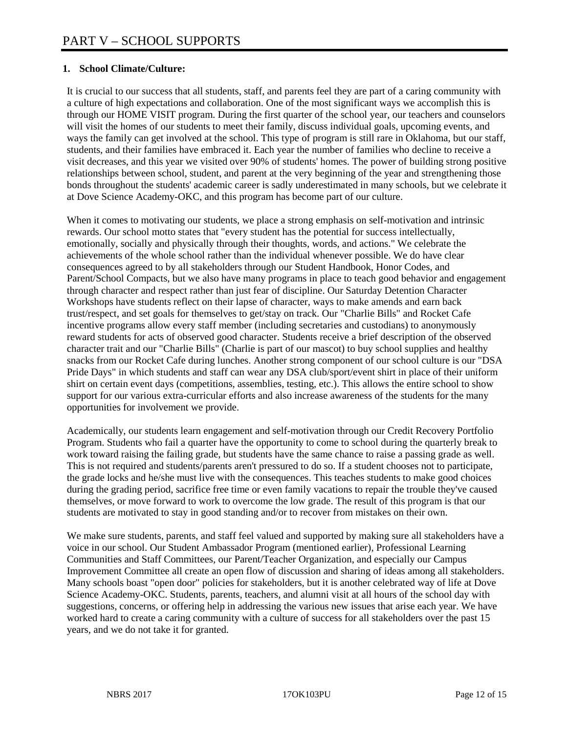#### **1. School Climate/Culture:**

It is crucial to our success that all students, staff, and parents feel they are part of a caring community with a culture of high expectations and collaboration. One of the most significant ways we accomplish this is through our HOME VISIT program. During the first quarter of the school year, our teachers and counselors will visit the homes of our students to meet their family, discuss individual goals, upcoming events, and ways the family can get involved at the school. This type of program is still rare in Oklahoma, but our staff, students, and their families have embraced it. Each year the number of families who decline to receive a visit decreases, and this year we visited over 90% of students' homes. The power of building strong positive relationships between school, student, and parent at the very beginning of the year and strengthening those bonds throughout the students' academic career is sadly underestimated in many schools, but we celebrate it at Dove Science Academy-OKC, and this program has become part of our culture.

When it comes to motivating our students, we place a strong emphasis on self-motivation and intrinsic rewards. Our school motto states that "every student has the potential for success intellectually, emotionally, socially and physically through their thoughts, words, and actions." We celebrate the achievements of the whole school rather than the individual whenever possible. We do have clear consequences agreed to by all stakeholders through our Student Handbook, Honor Codes, and Parent/School Compacts, but we also have many programs in place to teach good behavior and engagement through character and respect rather than just fear of discipline. Our Saturday Detention Character Workshops have students reflect on their lapse of character, ways to make amends and earn back trust/respect, and set goals for themselves to get/stay on track. Our "Charlie Bills" and Rocket Cafe incentive programs allow every staff member (including secretaries and custodians) to anonymously reward students for acts of observed good character. Students receive a brief description of the observed character trait and our "Charlie Bills" (Charlie is part of our mascot) to buy school supplies and healthy snacks from our Rocket Cafe during lunches. Another strong component of our school culture is our "DSA Pride Days" in which students and staff can wear any DSA club/sport/event shirt in place of their uniform shirt on certain event days (competitions, assemblies, testing, etc.). This allows the entire school to show support for our various extra-curricular efforts and also increase awareness of the students for the many opportunities for involvement we provide.

Academically, our students learn engagement and self-motivation through our Credit Recovery Portfolio Program. Students who fail a quarter have the opportunity to come to school during the quarterly break to work toward raising the failing grade, but students have the same chance to raise a passing grade as well. This is not required and students/parents aren't pressured to do so. If a student chooses not to participate, the grade locks and he/she must live with the consequences. This teaches students to make good choices during the grading period, sacrifice free time or even family vacations to repair the trouble they've caused themselves, or move forward to work to overcome the low grade. The result of this program is that our students are motivated to stay in good standing and/or to recover from mistakes on their own.

We make sure students, parents, and staff feel valued and supported by making sure all stakeholders have a voice in our school. Our Student Ambassador Program (mentioned earlier), Professional Learning Communities and Staff Committees, our Parent/Teacher Organization, and especially our Campus Improvement Committee all create an open flow of discussion and sharing of ideas among all stakeholders. Many schools boast "open door" policies for stakeholders, but it is another celebrated way of life at Dove Science Academy-OKC. Students, parents, teachers, and alumni visit at all hours of the school day with suggestions, concerns, or offering help in addressing the various new issues that arise each year. We have worked hard to create a caring community with a culture of success for all stakeholders over the past 15 years, and we do not take it for granted.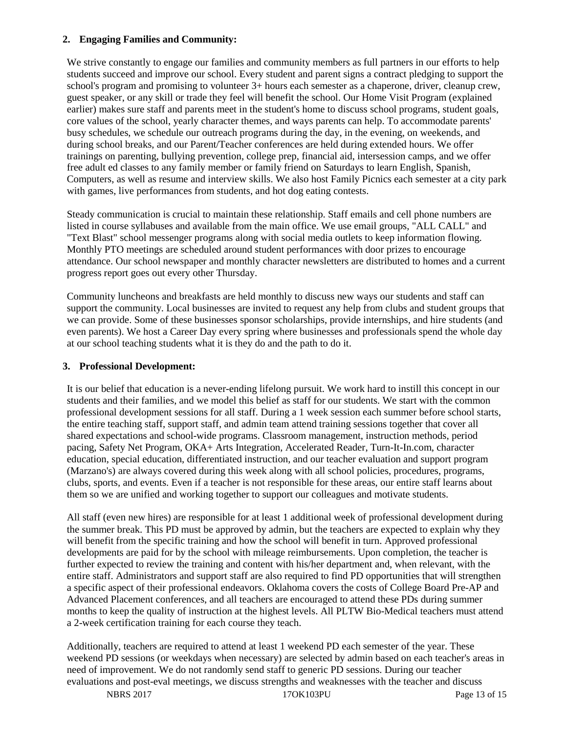#### **2. Engaging Families and Community:**

We strive constantly to engage our families and community members as full partners in our efforts to help students succeed and improve our school. Every student and parent signs a contract pledging to support the school's program and promising to volunteer 3+ hours each semester as a chaperone, driver, cleanup crew, guest speaker, or any skill or trade they feel will benefit the school. Our Home Visit Program (explained earlier) makes sure staff and parents meet in the student's home to discuss school programs, student goals, core values of the school, yearly character themes, and ways parents can help. To accommodate parents' busy schedules, we schedule our outreach programs during the day, in the evening, on weekends, and during school breaks, and our Parent/Teacher conferences are held during extended hours. We offer trainings on parenting, bullying prevention, college prep, financial aid, intersession camps, and we offer free adult ed classes to any family member or family friend on Saturdays to learn English, Spanish, Computers, as well as resume and interview skills. We also host Family Picnics each semester at a city park with games, live performances from students, and hot dog eating contests.

Steady communication is crucial to maintain these relationship. Staff emails and cell phone numbers are listed in course syllabuses and available from the main office. We use email groups, "ALL CALL" and "Text Blast" school messenger programs along with social media outlets to keep information flowing. Monthly PTO meetings are scheduled around student performances with door prizes to encourage attendance. Our school newspaper and monthly character newsletters are distributed to homes and a current progress report goes out every other Thursday.

Community luncheons and breakfasts are held monthly to discuss new ways our students and staff can support the community. Local businesses are invited to request any help from clubs and student groups that we can provide. Some of these businesses sponsor scholarships, provide internships, and hire students (and even parents). We host a Career Day every spring where businesses and professionals spend the whole day at our school teaching students what it is they do and the path to do it.

#### **3. Professional Development:**

It is our belief that education is a never-ending lifelong pursuit. We work hard to instill this concept in our students and their families, and we model this belief as staff for our students. We start with the common professional development sessions for all staff. During a 1 week session each summer before school starts, the entire teaching staff, support staff, and admin team attend training sessions together that cover all shared expectations and school-wide programs. Classroom management, instruction methods, period pacing, Safety Net Program, OKA+ Arts Integration, Accelerated Reader, Turn-It-In.com, character education, special education, differentiated instruction, and our teacher evaluation and support program (Marzano's) are always covered during this week along with all school policies, procedures, programs, clubs, sports, and events. Even if a teacher is not responsible for these areas, our entire staff learns about them so we are unified and working together to support our colleagues and motivate students.

All staff (even new hires) are responsible for at least 1 additional week of professional development during the summer break. This PD must be approved by admin, but the teachers are expected to explain why they will benefit from the specific training and how the school will benefit in turn. Approved professional developments are paid for by the school with mileage reimbursements. Upon completion, the teacher is further expected to review the training and content with his/her department and, when relevant, with the entire staff. Administrators and support staff are also required to find PD opportunities that will strengthen a specific aspect of their professional endeavors. Oklahoma covers the costs of College Board Pre-AP and Advanced Placement conferences, and all teachers are encouraged to attend these PDs during summer months to keep the quality of instruction at the highest levels. All PLTW Bio-Medical teachers must attend a 2-week certification training for each course they teach.

Additionally, teachers are required to attend at least 1 weekend PD each semester of the year. These weekend PD sessions (or weekdays when necessary) are selected by admin based on each teacher's areas in need of improvement. We do not randomly send staff to generic PD sessions. During our teacher evaluations and post-eval meetings, we discuss strengths and weaknesses with the teacher and discuss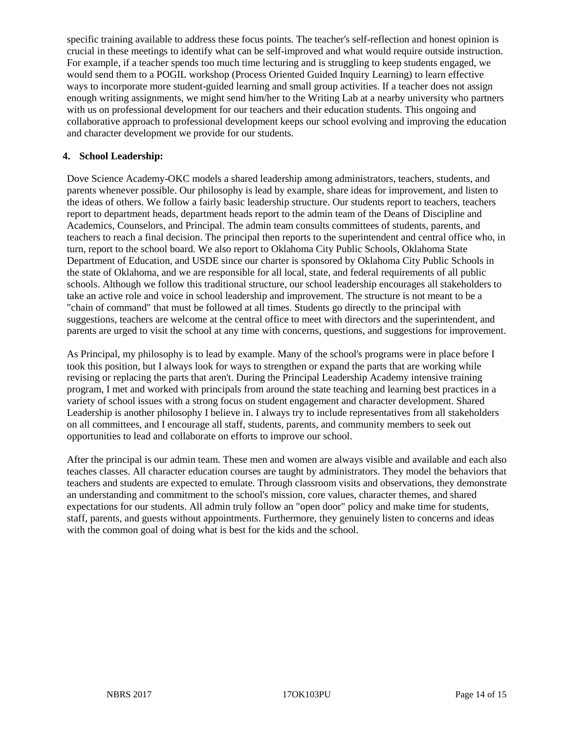specific training available to address these focus points. The teacher's self-reflection and honest opinion is crucial in these meetings to identify what can be self-improved and what would require outside instruction. For example, if a teacher spends too much time lecturing and is struggling to keep students engaged, we would send them to a POGIL workshop (Process Oriented Guided Inquiry Learning) to learn effective ways to incorporate more student-guided learning and small group activities. If a teacher does not assign enough writing assignments, we might send him/her to the Writing Lab at a nearby university who partners with us on professional development for our teachers and their education students. This ongoing and collaborative approach to professional development keeps our school evolving and improving the education and character development we provide for our students.

#### **4. School Leadership:**

Dove Science Academy-OKC models a shared leadership among administrators, teachers, students, and parents whenever possible. Our philosophy is lead by example, share ideas for improvement, and listen to the ideas of others. We follow a fairly basic leadership structure. Our students report to teachers, teachers report to department heads, department heads report to the admin team of the Deans of Discipline and Academics, Counselors, and Principal. The admin team consults committees of students, parents, and teachers to reach a final decision. The principal then reports to the superintendent and central office who, in turn, report to the school board. We also report to Oklahoma City Public Schools, Oklahoma State Department of Education, and USDE since our charter is sponsored by Oklahoma City Public Schools in the state of Oklahoma, and we are responsible for all local, state, and federal requirements of all public schools. Although we follow this traditional structure, our school leadership encourages all stakeholders to take an active role and voice in school leadership and improvement. The structure is not meant to be a "chain of command" that must be followed at all times. Students go directly to the principal with suggestions, teachers are welcome at the central office to meet with directors and the superintendent, and parents are urged to visit the school at any time with concerns, questions, and suggestions for improvement.

As Principal, my philosophy is to lead by example. Many of the school's programs were in place before I took this position, but I always look for ways to strengthen or expand the parts that are working while revising or replacing the parts that aren't. During the Principal Leadership Academy intensive training program, I met and worked with principals from around the state teaching and learning best practices in a variety of school issues with a strong focus on student engagement and character development. Shared Leadership is another philosophy I believe in. I always try to include representatives from all stakeholders on all committees, and I encourage all staff, students, parents, and community members to seek out opportunities to lead and collaborate on efforts to improve our school.

After the principal is our admin team. These men and women are always visible and available and each also teaches classes. All character education courses are taught by administrators. They model the behaviors that teachers and students are expected to emulate. Through classroom visits and observations, they demonstrate an understanding and commitment to the school's mission, core values, character themes, and shared expectations for our students. All admin truly follow an "open door" policy and make time for students, staff, parents, and guests without appointments. Furthermore, they genuinely listen to concerns and ideas with the common goal of doing what is best for the kids and the school.